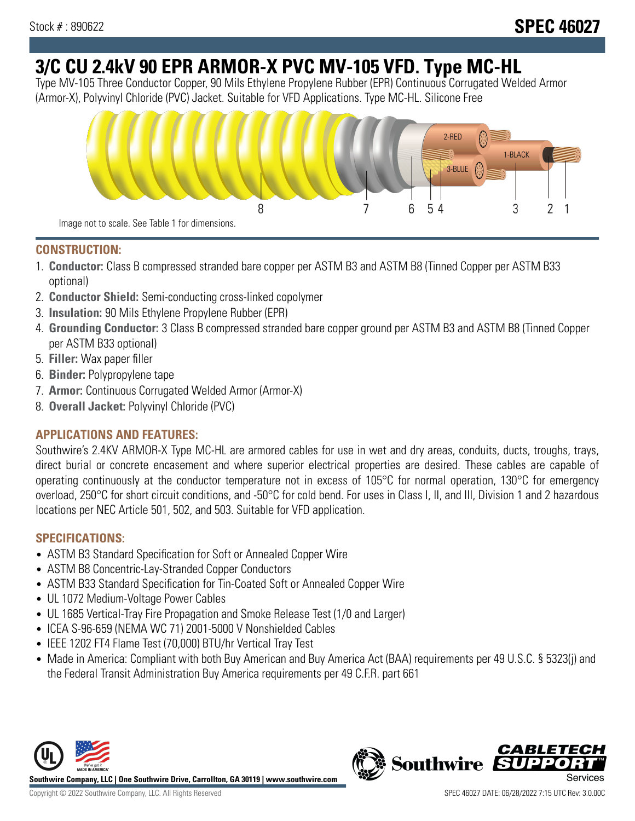# **3/C CU 2.4kV 90 EPR ARMOR-X PVC MV-105 VFD. Type MC-HL**

Type MV-105 Three Conductor Copper, 90 Mils Ethylene Propylene Rubber (EPR) Continuous Corrugated Welded Armor (Armor-X), Polyvinyl Chloride (PVC) Jacket. Suitable for VFD Applications. Type MC-HL. Silicone Free



### **CONSTRUCTION:**

- 1. **Conductor:** Class B compressed stranded bare copper per ASTM B3 and ASTM B8 (Tinned Copper per ASTM B33 optional)
- 2. **Conductor Shield:** Semi-conducting cross-linked copolymer
- 3. **Insulation:** 90 Mils Ethylene Propylene Rubber (EPR)
- 4. **Grounding Conductor:** 3 Class B compressed stranded bare copper ground per ASTM B3 and ASTM B8 (Tinned Copper per ASTM B33 optional)
- 5. **Filler:** Wax paper filler
- 6. **Binder:** Polypropylene tape
- 7. **Armor:** Continuous Corrugated Welded Armor (Armor-X)
- 8. **Overall Jacket:** Polyvinyl Chloride (PVC)

## **APPLICATIONS AND FEATURES:**

Southwire's 2.4KV ARMOR-X Type MC-HL are armored cables for use in wet and dry areas, conduits, ducts, troughs, trays, direct burial or concrete encasement and where superior electrical properties are desired. These cables are capable of operating continuously at the conductor temperature not in excess of 105°C for normal operation, 130°C for emergency overload, 250°C for short circuit conditions, and -50°C for cold bend. For uses in Class I, II, and III, Division 1 and 2 hazardous locations per NEC Article 501, 502, and 503. Suitable for VFD application.

## **SPECIFICATIONS:**

- ASTM B3 Standard Specification for Soft or Annealed Copper Wire
- ASTM B8 Concentric-Lay-Stranded Copper Conductors
- ASTM B33 Standard Specification for Tin-Coated Soft or Annealed Copper Wire
- UL 1072 Medium-Voltage Power Cables
- UL 1685 Vertical-Tray Fire Propagation and Smoke Release Test (1/0 and Larger)
- ICEA S-96-659 (NEMA WC 71) 2001-5000 V Nonshielded Cables
- IEEE 1202 FT4 Flame Test (70,000) BTU/hr Vertical Tray Test
- Made in America: Compliant with both Buy American and Buy America Act (BAA) requirements per 49 U.S.C. § 5323(j) and the Federal Transit Administration Buy America requirements per 49 C.F.R. part 661